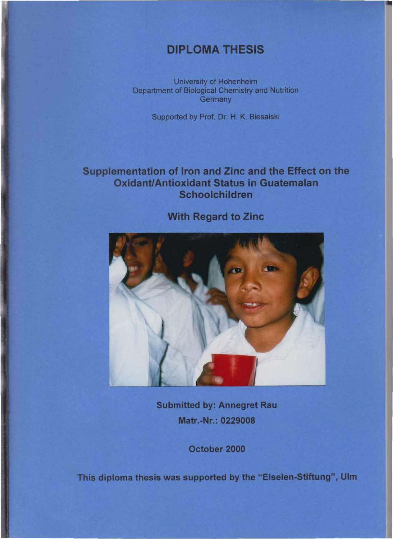## DIPLOMA THESIS

University of Hohenheim Department of Biological Chemistry and Nutrition **Germany** 

supported by Prof. Dr. H. K. Biesalski

## Supplementation of Iron and Zinc and the Effect on the **Oxidant/Antioxidant Status in Guatemalan** Schoolchildren



With Regard to Zinc

Submitted by: Annegret Rau Matr.-Nr.: 0229008

October 2000

This diploma thesis was supported by the "Eiselen-Stiftung", Ulm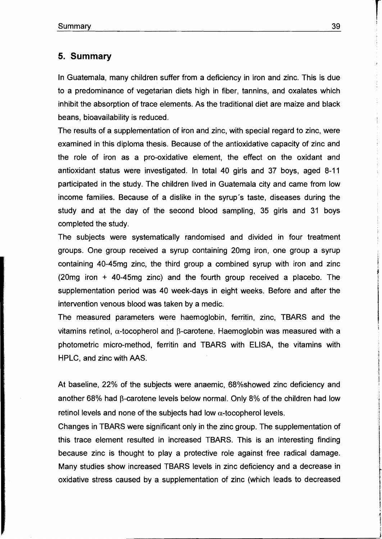## **5. Summary**

In Guatemala, many children suffer from a deficiency in iron and zinc. This is due to a predominance of vegetarian diets high in fiber, tannins, and oxalates which inhibit the absorption of trace elements. As the traditional diet are maize and black beans, bioavailability is reduced.

The results of a supplementation of iron and zinc, with special regard to zinc, were examined in this diploma thesis. Because of the antioxidative capacity of zinc and the role of iron as a pro-oxidative element, the effect on the oxidant and antioxidant status were investigated. In total 40 girls and 37 boys, aged 8-11 participated in the study. The children lived in Guatemala city and came from low income families. Because of a dislike in the syrup's taste, diseases during the study and at the day of the second blood sampling, 35 girls and 31 boys completed the study.

The subjects were systematically randomised and divided in four treatment groups. One group received a syrup containing 20mg iron, one group a syrup containing 40-45mg zinc, the third group a combined syrup with iron and zinc (20mg iron + 40-45mg zinc) and the fourth group received a placebo. The supplementation period was 40 week-days in eight weeks. Before and after the intervention venous blood was taken by a medic.

The measured parameters were haemoglobin, ferritin, zinc, TBARS and the vitamins retinol,  $\alpha$ -tocopherol and  $\beta$ -carotene. Haemoglobin was measured with a photometric micro-method, ferritin and TBARS with ELlSA, the vitamins with HPLC, and zinc with AAS.

At baseline, 22% of the subjects were anaemic, 68%showed zinc deficiency and another 68% had  $\beta$ -carotene levels below normal. Only 8% of the children had low retinol levels and none of the subjects had low  $\alpha$ -tocopherol levels.

Changes in TBARS were significant only in the zinc group. The supplementation of this trace element resulted in increased TBARS. This is an interesting finding because zinc is thought to play a protective role against free radical damage. Many studies show increased TBARS levels in zinc deficiency and a decrease in oxidative stress caused by a supplementation of zinc (which leads to decreased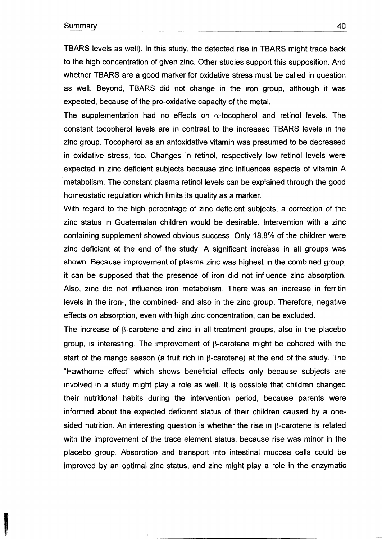TBARS levels as weil). **In** this study, the detected rise in TBARS might trace back to the high concentration of given zinc. Other studies support this supposition. And whether TBARS are a good marker for oxidative stress must be called in question as weil. Beyond, TBARS did not change in the iron group, although it was expected, because of the pro-oxidative capacity of the metal.

The supplementation had no effects on  $\alpha$ -tocopherol and retinol levels. The constant tocopherol levels are in contrast to the increased TBARS levels in the zinc group. Tocopherol as an antoxidative vitamin was presumed to be decreased in oxidative stress, too. Changes in retinol, respectively low retinol levels were expected in zinc deficient subjects because zinc influences aspects of vitamin A metabolism. The constant plasma retinol levels can be explained through the good homeostatic regulation which limits its quality as a marker.

With regard to the high percentage of zinc deficient subjects, a correction of the zinc status in Guatemalan children would be desirable. Intervention with a zinc containing supplement showed obvious success. Only 18.8% of the children were zinc deficient at the end of the study. A significant increase in all groups was shown. Because improvement of plasma zinc was highest in the combined group, it can be supposed that the presence of iron did not influence zinc absorption. Also, zinc did not influence iron metabolism. There was an increase in ferritin levels in the iron-, the combined- and also in the zinc group. Therefore, negative effects on absorption, even with high zinc concentration, can be excluded.

The increase of ß-carotene and zinc in all treatment groups, also in the placebo group, is interesting. The improvement of  $\beta$ -carotene might be cohered with the start of the mango season (a fruit rich in  $\beta$ -carotene) at the end of the study. The "Hawthorne effect" which shows beneficial effects only because subjects are involved in a study might play a role as well. It is possible that children changed their nutritional habits during the intervention period, because parents were informed about the expected deficient status of their children caused by a onesided nutrition. An interesting question is whether the rise in ß-carotene is related with the improvement of the trace element status, because rise was minor in the placebo group. Absorption and transport into intestinal mucosa cells could be improved by an optimal zinc status, and zinc might play a role in the enzymatic